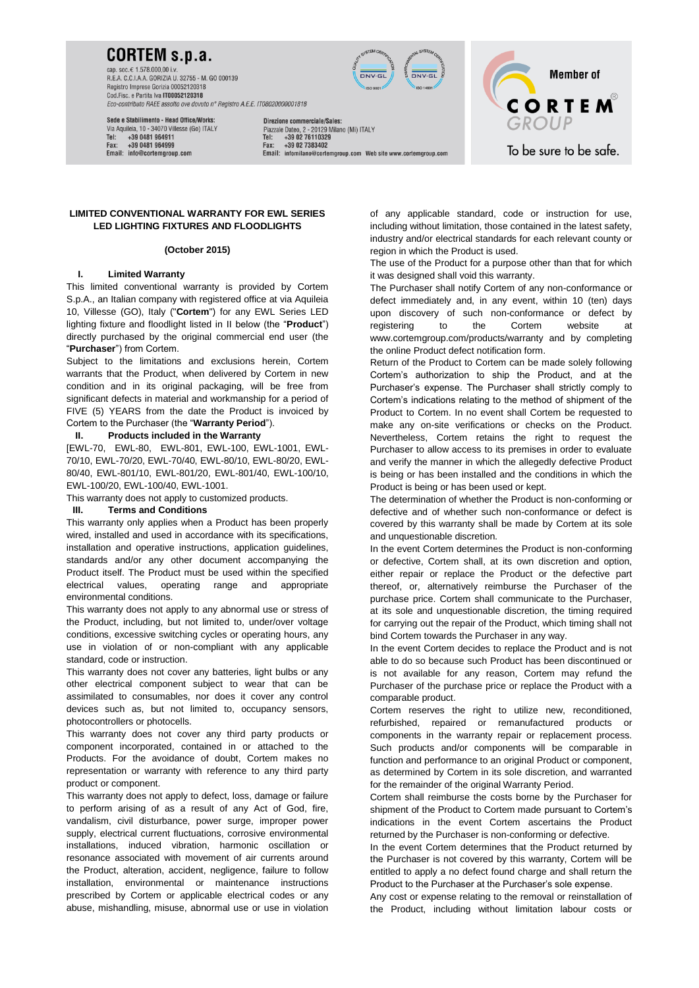## **CORTEM s.p.a.**

cap. soc.€ 1.578.000.00 i.y R.E.A. C.C.I.A.A. GORIZIA U. 32755 - M. GO 000139 Registro Imprese Gorizia 00052120318 Cod.Fisc. e Partita Iva IT00052120318 Eco-contributo RAEE assolto ove dovuto n° Registro A.E.E. IT08020000001818



Sede e Stabilimento - Head Office/Works: Via Aquileia, 10 - 34070 Villesse (Go) ITALY Tel: +39 0481 964911 +39 0481 964999 Email: info@cortemoroup.com

Direzione commerciale/Sales: Piazzale Dateo, 2 - 20129 Milano (Mi) ITALY<br>Tel: +39 02 76110329 +39 02 7383402 Fax: Email: infomilano@cortemproup.com Web site www.cortemproup.com

**Member of CORTEM** To be sure to be safe.

**LIMITED CONVENTIONAL WARRANTY FOR EWL SERIES LED LIGHTING FIXTURES AND FLOODLIGHTS**

### **(October 2015)**

## **I. Limited Warranty**

This limited conventional warranty is provided by Cortem S.p.A., an Italian company with registered office at via Aquileia 10, Villesse (GO), Italy ("**Cortem**") for any EWL Series LED lighting fixture and floodlight listed in [II](#page-0-0) below (the "**Product**") directly purchased by the original commercial end user (the "**Purchaser**") from Cortem.

Subject to the limitations and exclusions herein, Cortem warrants that the Product, when delivered by Cortem in new condition and in its original packaging, will be free from significant defects in material and workmanship for a period of FIVE (5) YEARS from the date the Product is invoiced by Cortem to the Purchaser (the "**Warranty Period**").

#### <span id="page-0-0"></span>**II. Products included in the Warranty**

[EWL-70, EWL-80, EWL-801, EWL-100, EWL-1001, EWL-70/10, EWL-70/20, EWL-70/40, EWL-80/10, EWL-80/20, EWL-80/40, EWL-801/10, EWL-801/20, EWL-801/40, EWL-100/10, EWL-100/20, EWL-100/40, EWL-1001.

This warranty does not apply to customized products.

#### **III. Terms and Conditions**

This warranty only applies when a Product has been properly wired, installed and used in accordance with its specifications, installation and operative instructions, application guidelines, standards and/or any other document accompanying the Product itself. The Product must be used within the specified electrical values, operating range and appropriate environmental conditions.

This warranty does not apply to any abnormal use or stress of the Product, including, but not limited to, under/over voltage conditions, excessive switching cycles or operating hours, any use in violation of or non-compliant with any applicable standard, code or instruction.

This warranty does not cover any batteries, light bulbs or any other electrical component subject to wear that can be assimilated to consumables, nor does it cover any control devices such as, but not limited to, occupancy sensors, photocontrollers or photocells.

This warranty does not cover any third party products or component incorporated, contained in or attached to the Products. For the avoidance of doubt, Cortem makes no representation or warranty with reference to any third party product or component.

This warranty does not apply to defect, loss, damage or failure to perform arising of as a result of any Act of God, fire, vandalism, civil disturbance, power surge, improper power supply, electrical current fluctuations, corrosive environmental installations, induced vibration, harmonic oscillation or resonance associated with movement of air currents around the Product, alteration, accident, negligence, failure to follow installation, environmental or maintenance instructions prescribed by Cortem or applicable electrical codes or any abuse, mishandling, misuse, abnormal use or use in violation

of any applicable standard, code or instruction for use, including without limitation, those contained in the latest safety, industry and/or electrical standards for each relevant county or region in which the Product is used.

The use of the Product for a purpose other than that for which it was designed shall void this warranty.

The Purchaser shall notify Cortem of any non-conformance or defect immediately and, in any event, within 10 (ten) days upon discovery of such non-conformance or defect by registering to the Cortem website at www.cortemgroup.com/products/warranty and by completing the online Product defect notification form.

Return of the Product to Cortem can be made solely following Cortem's authorization to ship the Product, and at the Purchaser's expense. The Purchaser shall strictly comply to Cortem's indications relating to the method of shipment of the Product to Cortem. In no event shall Cortem be requested to make any on-site verifications or checks on the Product. Nevertheless, Cortem retains the right to request the Purchaser to allow access to its premises in order to evaluate and verify the manner in which the allegedly defective Product is being or has been installed and the conditions in which the Product is being or has been used or kept.

The determination of whether the Product is non-conforming or defective and of whether such non-conformance or defect is covered by this warranty shall be made by Cortem at its sole and unquestionable discretion.

In the event Cortem determines the Product is non-conforming or defective, Cortem shall, at its own discretion and option, either repair or replace the Product or the defective part thereof, or, alternatively reimburse the Purchaser of the purchase price. Cortem shall communicate to the Purchaser, at its sole and unquestionable discretion, the timing required for carrying out the repair of the Product, which timing shall not bind Cortem towards the Purchaser in any way.

In the event Cortem decides to replace the Product and is not able to do so because such Product has been discontinued or is not available for any reason, Cortem may refund the Purchaser of the purchase price or replace the Product with a comparable product.

Cortem reserves the right to utilize new, reconditioned, refurbished, repaired or remanufactured products or components in the warranty repair or replacement process. Such products and/or components will be comparable in function and performance to an original Product or component, as determined by Cortem in its sole discretion, and warranted for the remainder of the original Warranty Period.

Cortem shall reimburse the costs borne by the Purchaser for shipment of the Product to Cortem made pursuant to Cortem's indications in the event Cortem ascertains the Product returned by the Purchaser is non-conforming or defective.

In the event Cortem determines that the Product returned by the Purchaser is not covered by this warranty, Cortem will be entitled to apply a no defect found charge and shall return the Product to the Purchaser at the Purchaser's sole expense.

Any cost or expense relating to the removal or reinstallation of the Product, including without limitation labour costs or